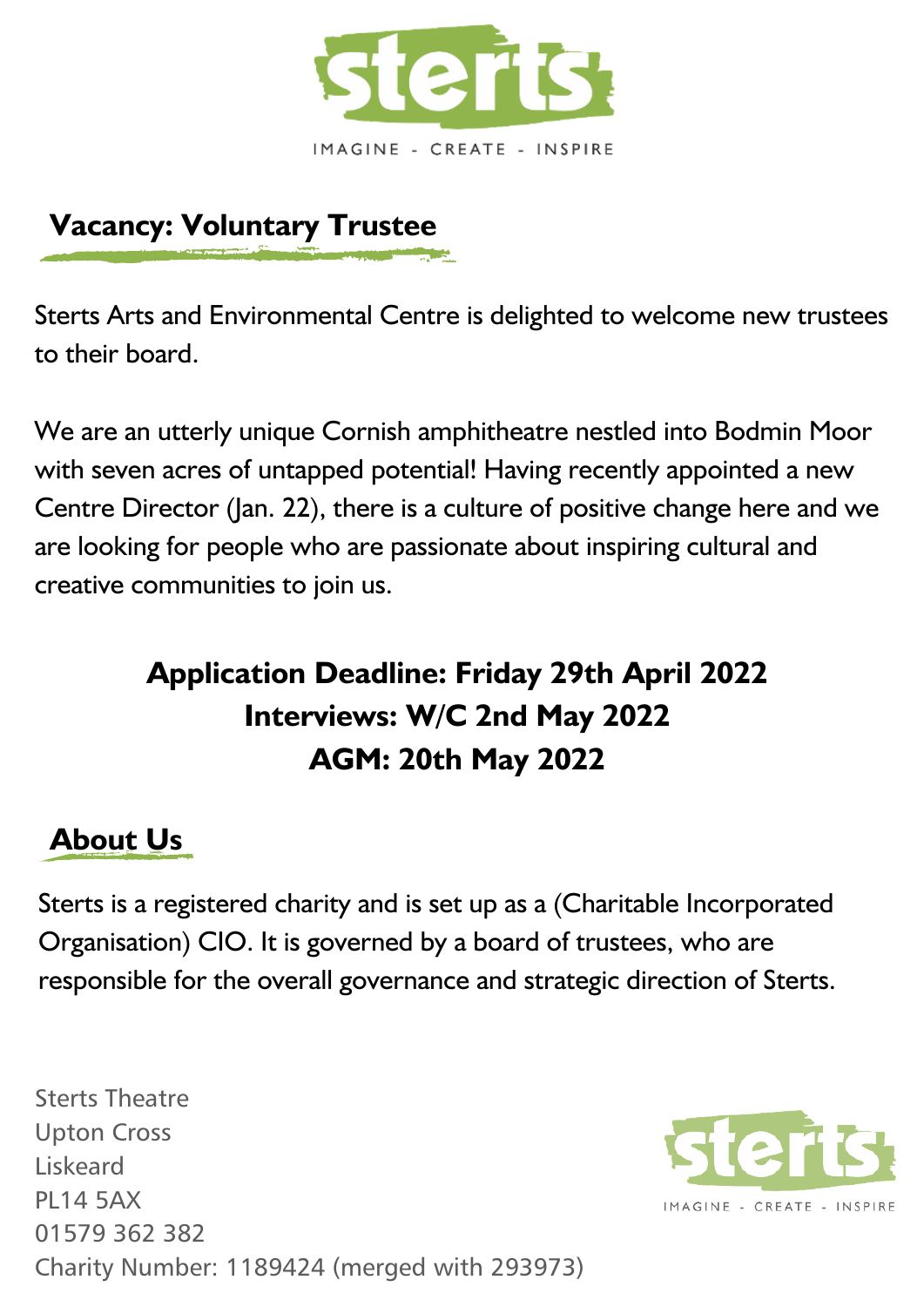

## **Vacancy: Voluntary Trustee**

Sterts Arts and Environmental Centre is delighted to welcome new trustees to their board.

We are an utterly unique Cornish amphitheatre nestled into Bodmin Moor with seven acres of untapped potential! Having recently appointed a new Centre Director (Jan. 22), there is a culture of positive change here and we are looking for people who are passionate about inspiring cultural and creative communities to join us.

# **Application Deadline: Friday 29th April 2022 Interviews: W/C 2nd May 2022 AGM: 20th May 2022**

## **About Us**

Sterts is a registered charity and is set up as a (Charitable Incorporated Organisation) CIO. It is governed by a board of trustees, who are responsible for the overall governance and strategic direction of Sterts.

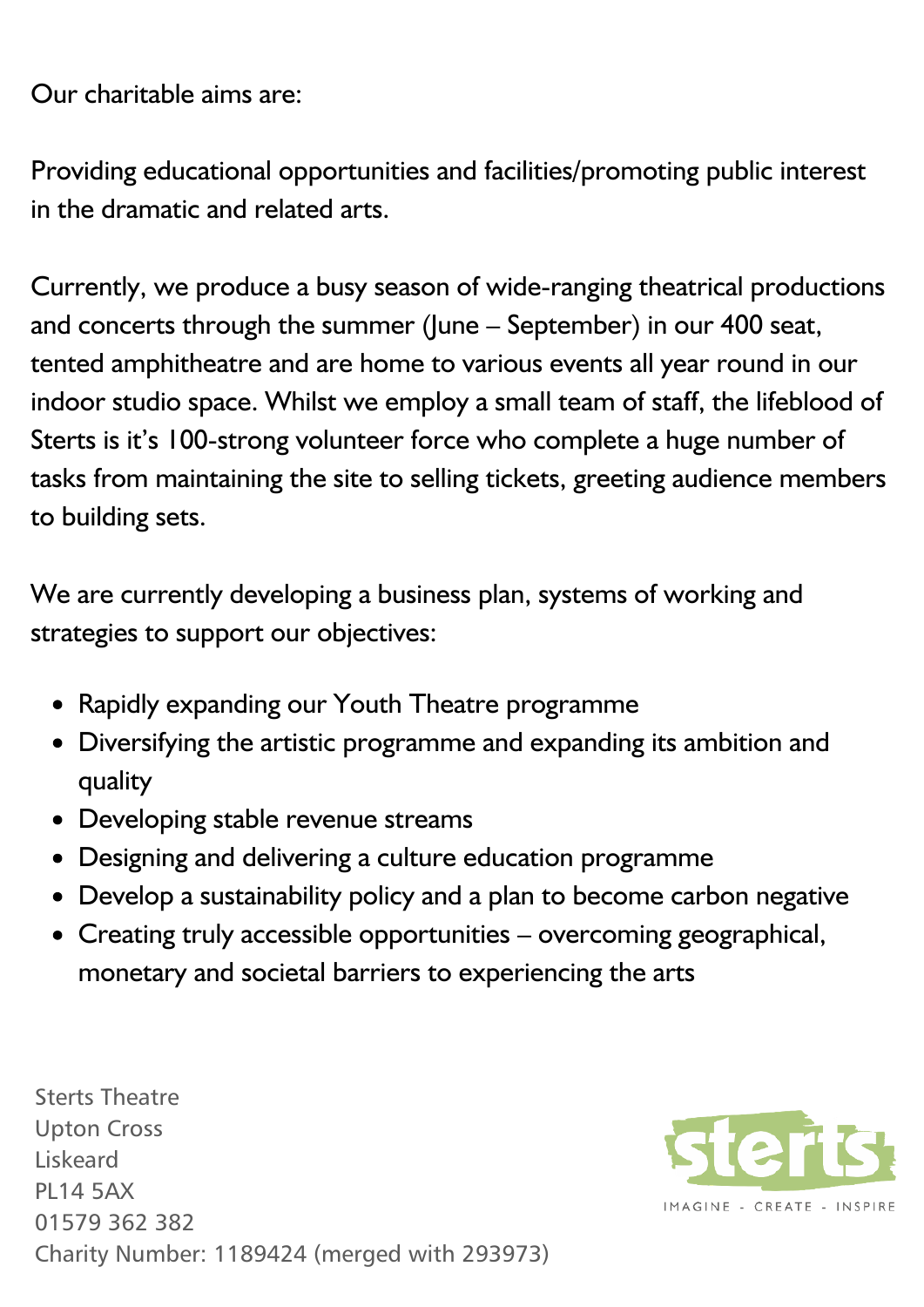Our charitable aims are:

Providing educational opportunities and facilities/promoting public interest in the dramatic and related arts.

Currently, we produce a busy season of wide-ranging theatrical productions and concerts through the summer (June – September) in our 400 seat, tented amphitheatre and are home to various events all year round in our indoor studio space. Whilst we employ a small team of staff, the lifeblood of Sterts is it's 100-strong volunteer force who complete a huge number of tasks from maintaining the site to selling tickets, greeting audience members to building sets.

We are currently developing a business plan, systems of working and strategies to support our objectives:

- Rapidly expanding our Youth Theatre programme
- Diversifying the artistic programme and expanding its ambition and quality
- Developing stable revenue streams
- Designing and delivering a culture education programme
- Develop a sustainability policy and a plan to become carbon negative
- Creating truly accessible opportunities overcoming geographical, monetary and societal barriers to experiencing the arts

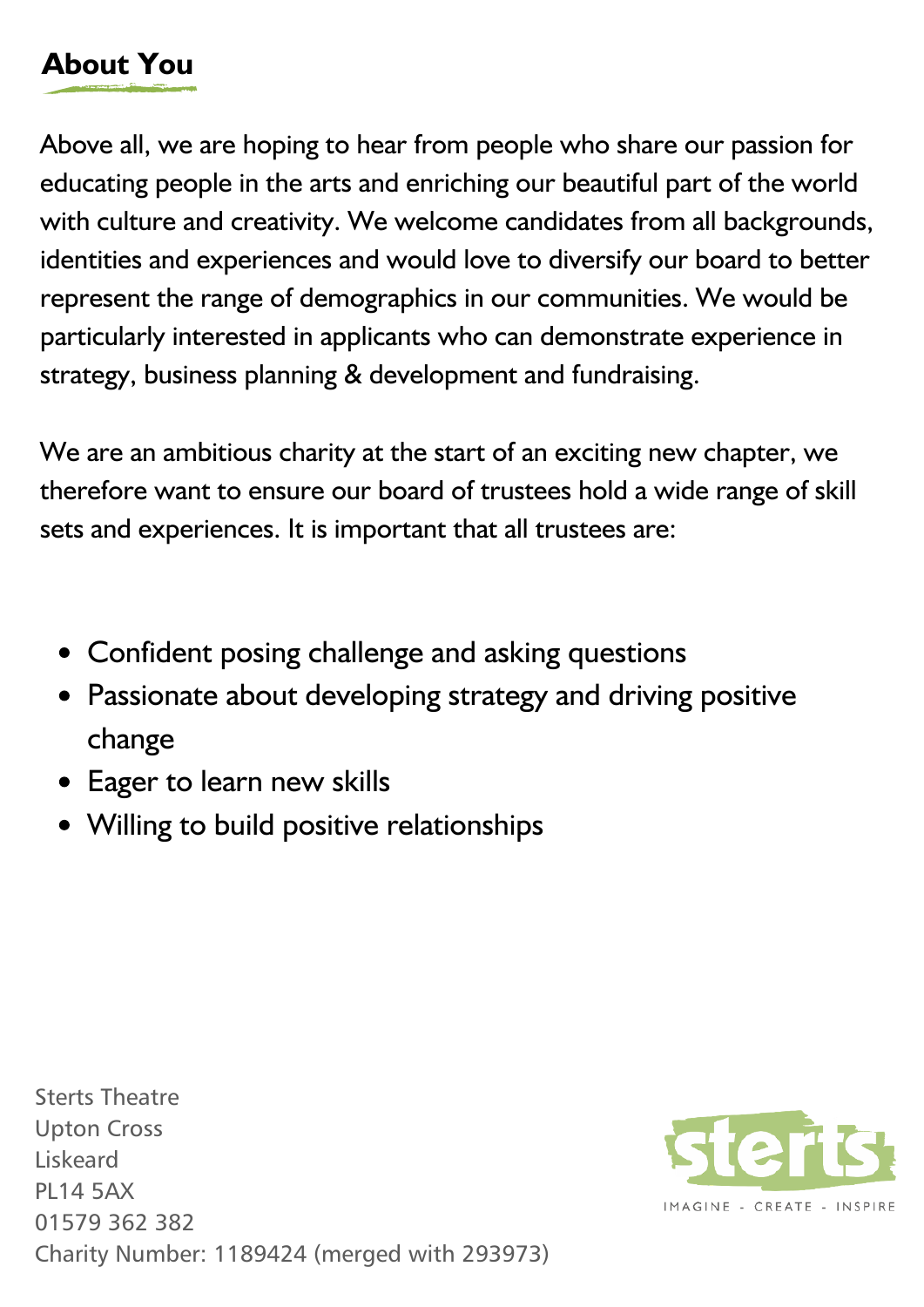# **About You**

Above all, we are hoping to hear from people who share our passion for educating people in the arts and enriching our beautiful part of the world with culture and creativity. We welcome candidates from all backgrounds, identities and experiences and would love to diversify our board to better represent the range of demographics in our communities. We would be particularly interested in applicants who can demonstrate experience in strategy, business planning & development and fundraising.

We are an ambitious charity at the start of an exciting new chapter, we therefore want to ensure our board of trustees hold a wide range of skill sets and experiences. It is important that all trustees are:

- Confident posing challenge and asking questions
- Passionate about developing strategy and driving positive change
- Eager to learn new skills
- Willing to build positive relationships